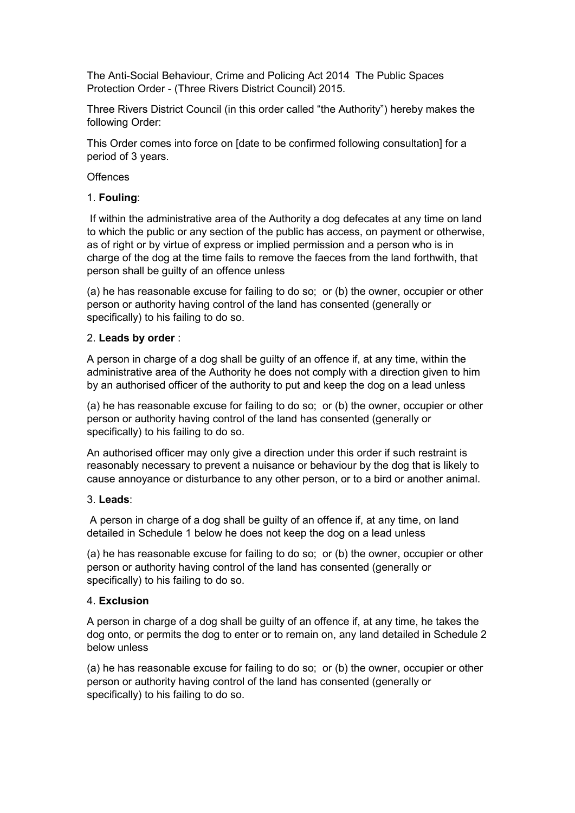The Anti-Social Behaviour, Crime and Policing Act 2014 The Public Spaces Protection Order - (Three Rivers District Council) 2015.

Three Rivers District Council (in this order called "the Authority") hereby makes the following Order:

This Order comes into force on [date to be confirmed following consultation] for a period of 3 years.

#### **Offences**

### 1. **Fouling**:

 If within the administrative area of the Authority a dog defecates at any time on land to which the public or any section of the public has access, on payment or otherwise, as of right or by virtue of express or implied permission and a person who is in charge of the dog at the time fails to remove the faeces from the land forthwith, that person shall be guilty of an offence unless

(a) he has reasonable excuse for failing to do so; or (b) the owner, occupier or other person or authority having control of the land has consented (generally or specifically) to his failing to do so.

### 2. **Leads by order** :

A person in charge of a dog shall be guilty of an offence if, at any time, within the administrative area of the Authority he does not comply with a direction given to him by an authorised officer of the authority to put and keep the dog on a lead unless

(a) he has reasonable excuse for failing to do so; or (b) the owner, occupier or other person or authority having control of the land has consented (generally or specifically) to his failing to do so.

An authorised officer may only give a direction under this order if such restraint is reasonably necessary to prevent a nuisance or behaviour by the dog that is likely to cause annoyance or disturbance to any other person, or to a bird or another animal.

#### 3. **Leads**:

 A person in charge of a dog shall be guilty of an offence if, at any time, on land detailed in Schedule 1 below he does not keep the dog on a lead unless

(a) he has reasonable excuse for failing to do so; or (b) the owner, occupier or other person or authority having control of the land has consented (generally or specifically) to his failing to do so.

### 4. **Exclusion**

A person in charge of a dog shall be guilty of an offence if, at any time, he takes the dog onto, or permits the dog to enter or to remain on, any land detailed in Schedule 2 below unless

(a) he has reasonable excuse for failing to do so; or (b) the owner, occupier or other person or authority having control of the land has consented (generally or specifically) to his failing to do so.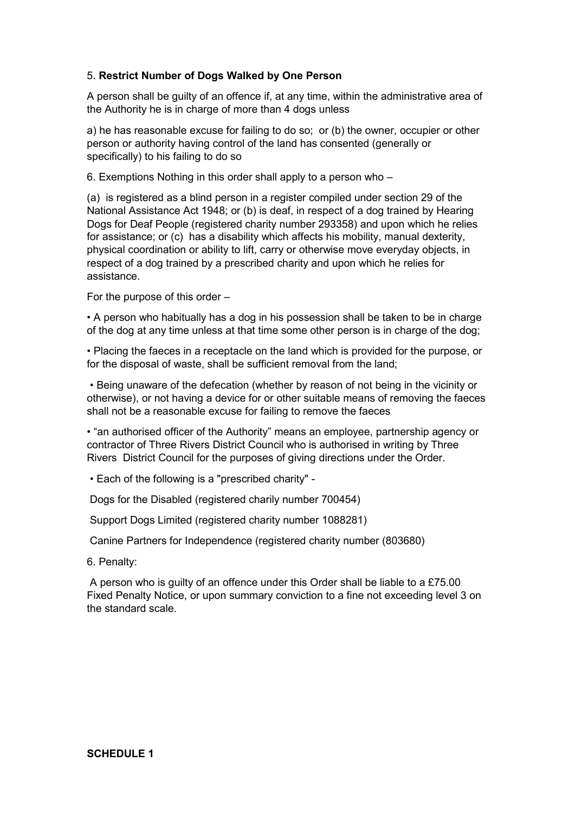## 5. **Restrict Number of Dogs Walked by One Person**

A person shall be guilty of an offence if, at any time, within the administrative area of the Authority he is in charge of more than 4 dogs unless

a) he has reasonable excuse for failing to do so; or (b) the owner, occupier or other person or authority having control of the land has consented (generally or specifically) to his failing to do so

6. Exemptions Nothing in this order shall apply to a person who –

(a) is registered as a blind person in a register compiled under section 29 of the National Assistance Act 1948; or (b) is deaf, in respect of a dog trained by Hearing Dogs for Deaf People (registered charity number 293358) and upon which he relies for assistance; or (c) has a disability which affects his mobility, manual dexterity, physical coordination or ability to lift, carry or otherwise move everyday objects, in respect of a dog trained by a prescribed charity and upon which he relies for assistance.

For the purpose of this order –

• A person who habitually has a dog in his possession shall be taken to be in charge of the dog at any time unless at that time some other person is in charge of the dog;

• Placing the faeces in a receptacle on the land which is provided for the purpose, or for the disposal of waste, shall be sufficient removal from the land;

 • Being unaware of the defecation (whether by reason of not being in the vicinity or otherwise), or not having a device for or other suitable means of removing the faeces shall not be a reasonable excuse for failing to remove the faeces

• "an authorised officer of the Authority" means an employee, partnership agency or contractor of Three Rivers District Council who is authorised in writing by Three Rivers District Council for the purposes of giving directions under the Order.

• Each of the following is a "prescribed charity" -

Dogs for the Disabled (registered charily number 700454)

Support Dogs Limited (registered charity number 1088281)

Canine Partners for Independence (registered charity number (803680)

6. Penalty:

 A person who is guilty of an offence under this Order shall be liable to a £75.00 Fixed Penalty Notice, or upon summary conviction to a fine not exceeding level 3 on the standard scale.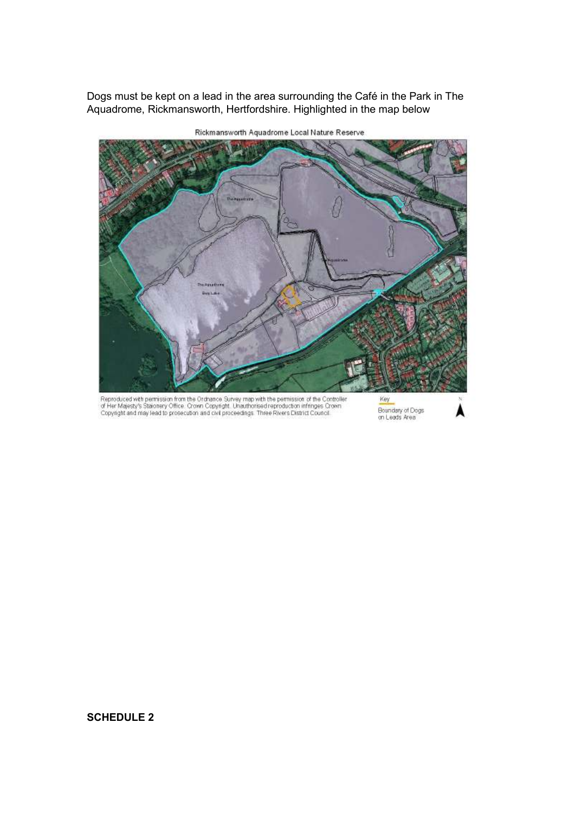Dogs must be kept on a lead in the area surrounding the Café in the Park in The Aquadrome, Rickmansworth, Hertfordshire. Highlighted in the map below



Rickmansworth Aquadrome Local Nature Reserve

Reproduced with permission from the Ordnance Survey map with the permission of the Controller<br>of Her Majesty's Staionery Office: Crown Copyright, Unauthorised reproduction infringes Crown<br>Copyright and may lead to prosecut

Key Boundary of Dogs<br>on Leads Area

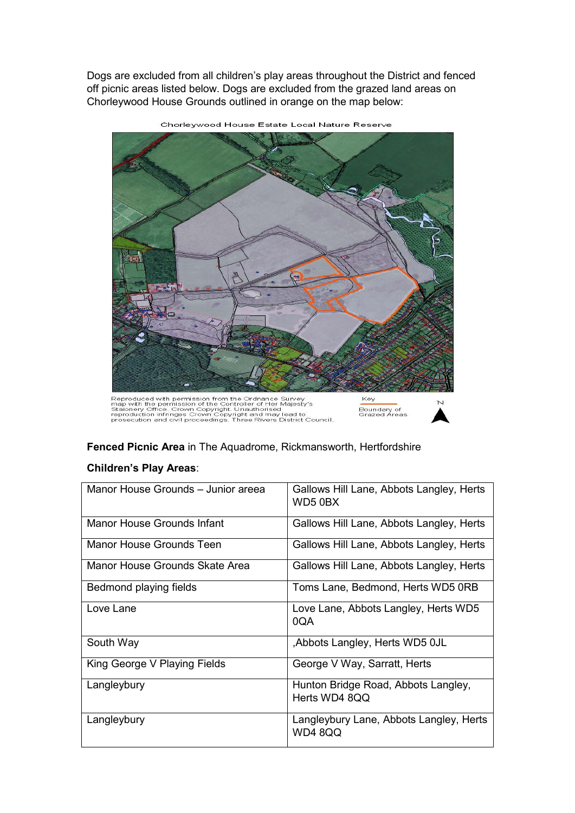Dogs are excluded from all children's play areas throughout the District and fenced off picnic areas listed below. Dogs are excluded from the grazed land areas on Chorleywood House Grounds outlined in orange on the map below:



Chorleywood House Estate Local Nature Reserve

Reproduced with permission from the Ordnance Survey<br>map with the permission of the Controller of Her Majesty's<br>Staionery Office. Crown Copyright. Unauthorised<br>reproduction infringes Crown Copyright and may lead to<br>prosecut

Boundary of<br>Grazed Areas



# **Fenced Picnic Area** in The Aquadrome, Rickmansworth, Hertfordshire

### **Children's Play Areas**:

| Manor House Grounds - Junior areea    | Gallows Hill Lane, Abbots Langley, Herts<br>WD5 0BX  |
|---------------------------------------|------------------------------------------------------|
| Manor House Grounds Infant            | Gallows Hill Lane, Abbots Langley, Herts             |
| Manor House Grounds Teen              | Gallows Hill Lane, Abbots Langley, Herts             |
| <b>Manor House Grounds Skate Area</b> | Gallows Hill Lane, Abbots Langley, Herts             |
| Bedmond playing fields                | Toms Lane, Bedmond, Herts WD5 0RB                    |
| Love Lane                             | Love Lane, Abbots Langley, Herts WD5<br>0QA          |
| South Way                             | Abbots Langley, Herts WD5 0JL                        |
| King George V Playing Fields          | George V Way, Sarratt, Herts                         |
| Langleybury                           | Hunton Bridge Road, Abbots Langley,<br>Herts WD4 8QQ |
| Langleybury                           | Langleybury Lane, Abbots Langley, Herts<br>WD4 8QQ   |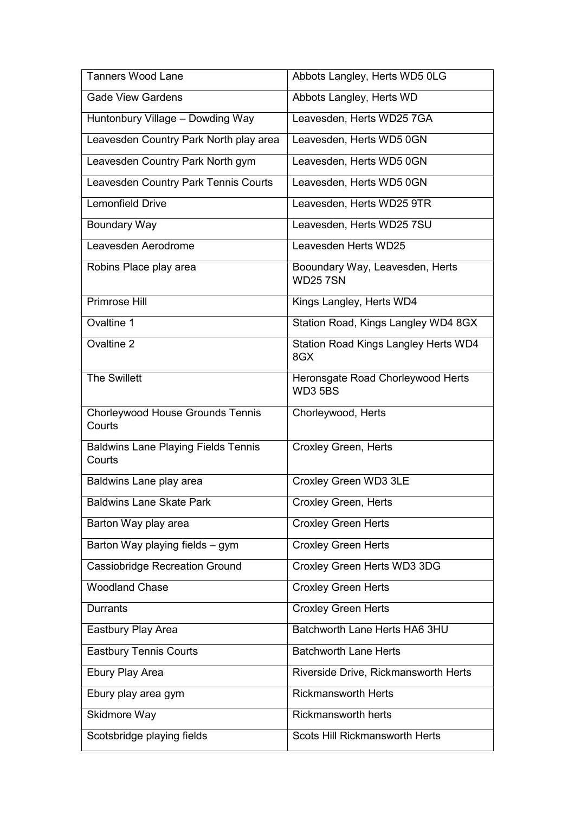| <b>Tanners Wood Lane</b>                             | Abbots Langley, Herts WD5 0LG                     |
|------------------------------------------------------|---------------------------------------------------|
| <b>Gade View Gardens</b>                             | Abbots Langley, Herts WD                          |
| Huntonbury Village - Dowding Way                     | Leavesden, Herts WD25 7GA                         |
| Leavesden Country Park North play area               | Leavesden, Herts WD5 0GN                          |
| Leavesden Country Park North gym                     | Leavesden, Herts WD5 0GN                          |
| Leavesden Country Park Tennis Courts                 | Leavesden, Herts WD5 0GN                          |
| <b>Lemonfield Drive</b>                              | Leavesden, Herts WD25 9TR                         |
| <b>Boundary Way</b>                                  | Leavesden, Herts WD25 7SU                         |
| Leavesden Aerodrome                                  | Leavesden Herts WD25                              |
| Robins Place play area                               | Booundary Way, Leavesden, Herts<br><b>WD257SN</b> |
| <b>Primrose Hill</b>                                 | Kings Langley, Herts WD4                          |
| Ovaltine 1                                           | Station Road, Kings Langley WD4 8GX               |
| Ovaltine 2                                           | Station Road Kings Langley Herts WD4<br>8GX       |
| <b>The Swillett</b>                                  | Heronsgate Road Chorleywood Herts<br>WD3 5BS      |
| Chorleywood House Grounds Tennis<br>Courts           | Chorleywood, Herts                                |
| <b>Baldwins Lane Playing Fields Tennis</b><br>Courts | Croxley Green, Herts                              |
| Baldwins Lane play area                              | Croxley Green WD3 3LE                             |
| <b>Baldwins Lane Skate Park</b>                      | <b>Croxley Green, Herts</b>                       |
| Barton Way play area                                 | <b>Croxley Green Herts</b>                        |
| Barton Way playing fields - gym                      | <b>Croxley Green Herts</b>                        |
| <b>Cassiobridge Recreation Ground</b>                | Croxley Green Herts WD3 3DG                       |
| <b>Woodland Chase</b>                                | <b>Croxley Green Herts</b>                        |
| <b>Durrants</b>                                      | <b>Croxley Green Herts</b>                        |
| Eastbury Play Area                                   | Batchworth Lane Herts HA6 3HU                     |
| <b>Eastbury Tennis Courts</b>                        | <b>Batchworth Lane Herts</b>                      |
| Ebury Play Area                                      | Riverside Drive, Rickmansworth Herts              |
| Ebury play area gym                                  | <b>Rickmansworth Herts</b>                        |
| Skidmore Way                                         | <b>Rickmansworth herts</b>                        |
| Scotsbridge playing fields                           | Scots Hill Rickmansworth Herts                    |